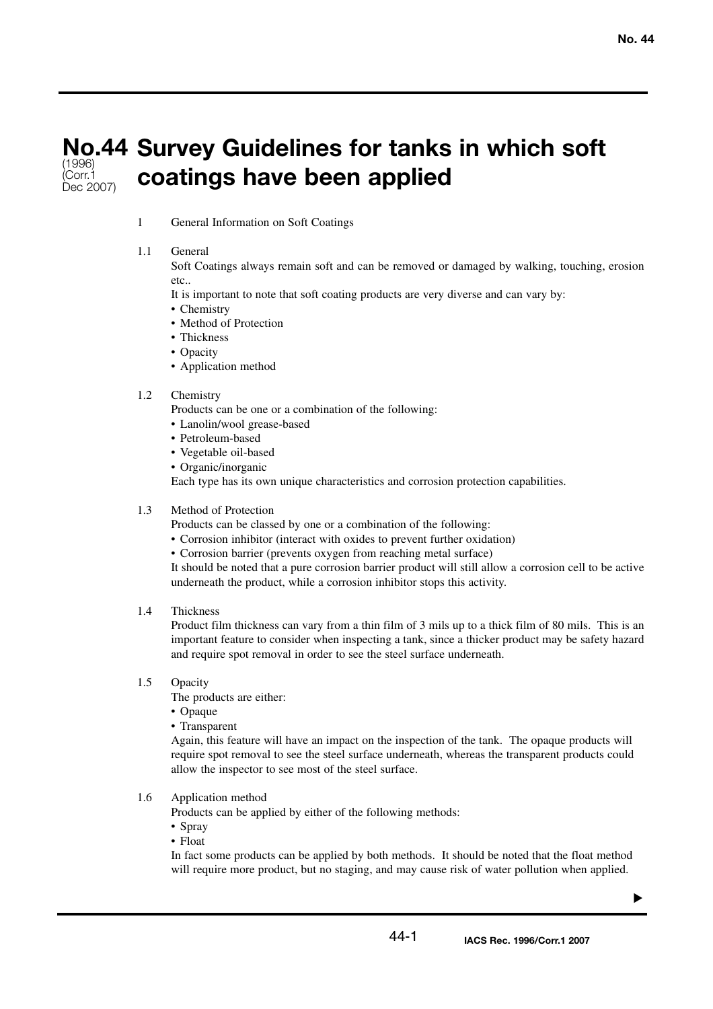#### **No.44 Survey Guidelines for tanks in which soft coatings have been applied** (1996) (Corr.1 Dec 2007)

1 General Information on Soft Coatings

## 1.1 General

Soft Coatings always remain soft and can be removed or damaged by walking, touching, erosion etc..

It is important to note that soft coating products are very diverse and can vary by:

- Chemistry
- Method of Protection
- Thickness
- Opacity
- Application method

## 1.2 Chemistry

Products can be one or a combination of the following:

- Lanolin/wool grease-based
- Petroleum-based
- Vegetable oil-based
- Organic/inorganic

Each type has its own unique characteristics and corrosion protection capabilities.

### 1.3 Method of Protection

Products can be classed by one or a combination of the following:

- Corrosion inhibitor (interact with oxides to prevent further oxidation)
- Corrosion barrier (prevents oxygen from reaching metal surface)

It should be noted that a pure corrosion barrier product will still allow a corrosion cell to be active underneath the product, while a corrosion inhibitor stops this activity.

### 1.4 Thickness

Product film thickness can vary from a thin film of 3 mils up to a thick film of 80 mils. This is an important feature to consider when inspecting a tank, since a thicker product may be safety hazard and require spot removal in order to see the steel surface underneath.

# 1.5 Opacity

The products are either:

- Opaque
- Transparent

Again, this feature will have an impact on the inspection of the tank. The opaque products will require spot removal to see the steel surface underneath, whereas the transparent products could allow the inspector to see most of the steel surface.

### 1.6 Application method

Products can be applied by either of the following methods:

- Spray
- Float

In fact some products can be applied by both methods. It should be noted that the float method will require more product, but no staging, and may cause risk of water pollution when applied.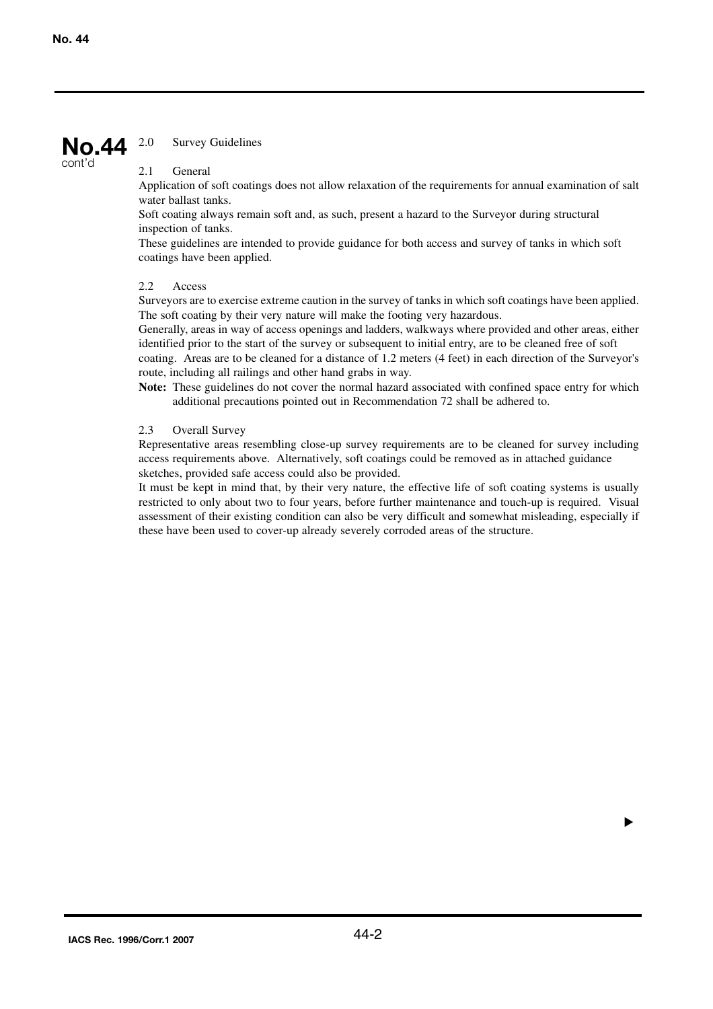#### 2.0 Survey Guidelines **No.44**

cont'd

## 2.1 General

Application of soft coatings does not allow relaxation of the requirements for annual examination of salt water ballast tanks.

Soft coating always remain soft and, as such, present a hazard to the Surveyor during structural inspection of tanks.

These guidelines are intended to provide guidance for both access and survey of tanks in which soft coatings have been applied.

## 2.2 Access

Surveyors are to exercise extreme caution in the survey of tanks in which soft coatings have been applied. The soft coating by their very nature will make the footing very hazardous.

Generally, areas in way of access openings and ladders, walkways where provided and other areas, either identified prior to the start of the survey or subsequent to initial entry, are to be cleaned free of soft coating. Areas are to be cleaned for a distance of 1.2 meters (4 feet) in each direction of the Surveyor's

route, including all railings and other hand grabs in way.

**Note:** These guidelines do not cover the normal hazard associated with confined space entry for which additional precautions pointed out in Recommendation 72 shall be adhered to.

### 2.3 Overall Survey

Representative areas resembling close-up survey requirements are to be cleaned for survey including access requirements above. Alternatively, soft coatings could be removed as in attached guidance sketches, provided safe access could also be provided.

It must be kept in mind that, by their very nature, the effective life of soft coating systems is usually restricted to only about two to four years, before further maintenance and touch-up is required. Visual assessment of their existing condition can also be very difficult and somewhat misleading, especially if these have been used to cover-up already severely corroded areas of the structure.

▼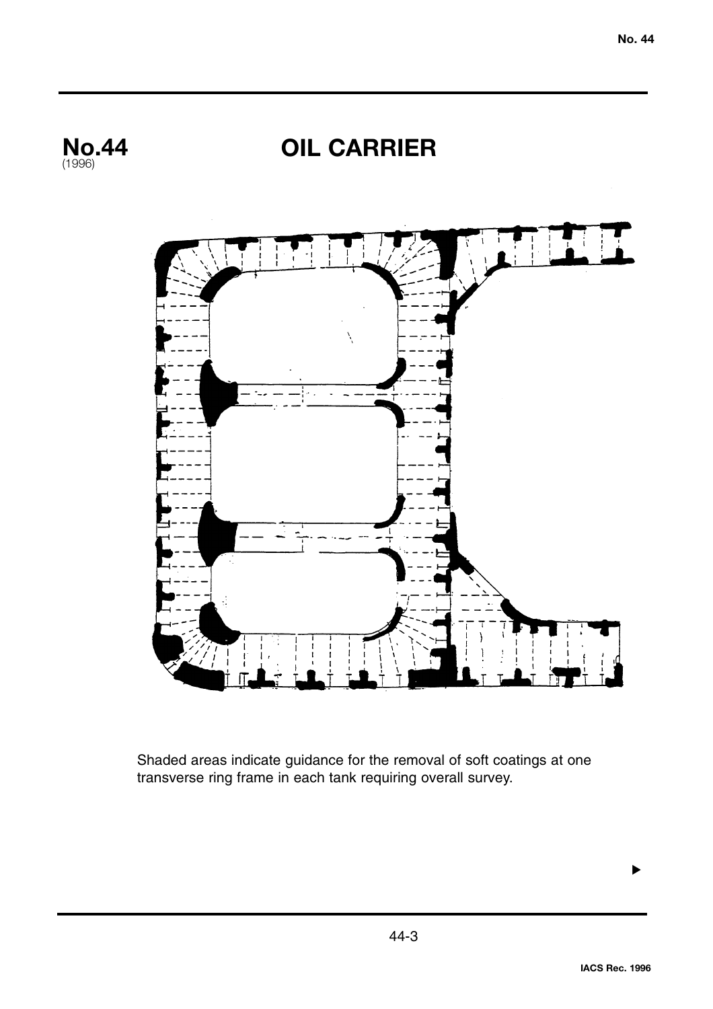

Shaded areas indicate guidance for the removal of soft coatings at one transverse ring frame in each tank requiring overall survey.

44-3

▼